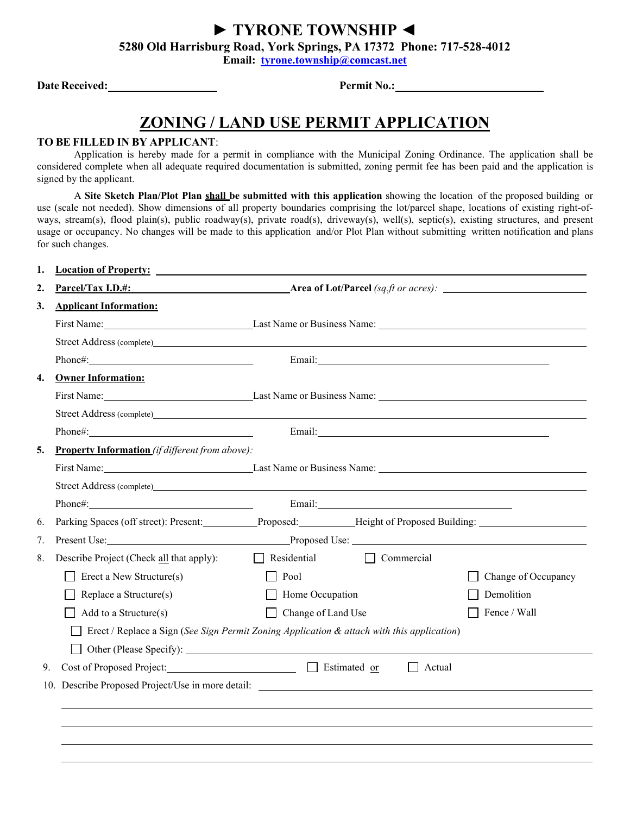**► TYRONE TOWNSHIP ◄**

**5280 Old Harrisburg Road, York Springs, PA 17372 Phone: 717-528-4012** 

**Email: [tyrone.township@comcast.net](mailto:tyrone.township@comcast.net)**

**Date Received: Permit No.:** 

## **ZONING / LAND USE PERMIT APPLICATION**

## **TO BE FILLED IN BY APPLICANT**:

Application is hereby made for a permit in compliance with the Municipal Zoning Ordinance. The application shall be considered complete when all adequate required documentation is submitted, zoning permit fee has been paid and the application is signed by the applicant.

A **Site Sketch Plan/Plot Plan shall be submitted with this application** showing the location of the proposed building or use (scale not needed). Show dimensions of all property boundaries comprising the lot/parcel shape, locations of existing right-ofways, stream(s), flood plain(s), public roadway(s), private road(s), driveway(s), well(s), septic(s), existing structures, and present usage or occupancy. No changes will be made to this application and/or Plot Plan without submitting written notification and plans for such changes.

| <b>Solution</b> Area of Lot/Parcel (sq.ft or acres):<br>Parcel/Tax I.D.#:<br>2.<br><b>Applicant Information:</b><br>Street Address (complete)<br>Email: 2008. [2016] [2016] [2016] [2016] [2016] [2016] [2016] [2016] [2016] [2016] [2016] [2016] [2016] [2016] [2016] [2016] [2016] [2016] [2016] [2016] [2016] [2016] [2016] [2016] [2016] [2016] [2016] [2016] [2016] [2016]<br>Phone#: 2000 Phone 2000 Phone 2000 Phone 2000 Phone 2000 Phone 2000 Phone 2000 Phone 2000 Phone 2000 Phone 200<br><b>Owner Information:</b><br>Street Address (complete) and the contract of the contract of the contract of the contract of the contract of the contract of the contract of the contract of the contract of the contract of the contract of the contract of<br><b>Property Information</b> (if different from above):<br>Street Address (complete) |  |  |  |  |  |
|--------------------------------------------------------------------------------------------------------------------------------------------------------------------------------------------------------------------------------------------------------------------------------------------------------------------------------------------------------------------------------------------------------------------------------------------------------------------------------------------------------------------------------------------------------------------------------------------------------------------------------------------------------------------------------------------------------------------------------------------------------------------------------------------------------------------------------------------------------|--|--|--|--|--|
| 3.<br>4.<br>5.                                                                                                                                                                                                                                                                                                                                                                                                                                                                                                                                                                                                                                                                                                                                                                                                                                         |  |  |  |  |  |
|                                                                                                                                                                                                                                                                                                                                                                                                                                                                                                                                                                                                                                                                                                                                                                                                                                                        |  |  |  |  |  |
|                                                                                                                                                                                                                                                                                                                                                                                                                                                                                                                                                                                                                                                                                                                                                                                                                                                        |  |  |  |  |  |
|                                                                                                                                                                                                                                                                                                                                                                                                                                                                                                                                                                                                                                                                                                                                                                                                                                                        |  |  |  |  |  |
|                                                                                                                                                                                                                                                                                                                                                                                                                                                                                                                                                                                                                                                                                                                                                                                                                                                        |  |  |  |  |  |
|                                                                                                                                                                                                                                                                                                                                                                                                                                                                                                                                                                                                                                                                                                                                                                                                                                                        |  |  |  |  |  |
|                                                                                                                                                                                                                                                                                                                                                                                                                                                                                                                                                                                                                                                                                                                                                                                                                                                        |  |  |  |  |  |
|                                                                                                                                                                                                                                                                                                                                                                                                                                                                                                                                                                                                                                                                                                                                                                                                                                                        |  |  |  |  |  |
|                                                                                                                                                                                                                                                                                                                                                                                                                                                                                                                                                                                                                                                                                                                                                                                                                                                        |  |  |  |  |  |
|                                                                                                                                                                                                                                                                                                                                                                                                                                                                                                                                                                                                                                                                                                                                                                                                                                                        |  |  |  |  |  |
|                                                                                                                                                                                                                                                                                                                                                                                                                                                                                                                                                                                                                                                                                                                                                                                                                                                        |  |  |  |  |  |
|                                                                                                                                                                                                                                                                                                                                                                                                                                                                                                                                                                                                                                                                                                                                                                                                                                                        |  |  |  |  |  |
|                                                                                                                                                                                                                                                                                                                                                                                                                                                                                                                                                                                                                                                                                                                                                                                                                                                        |  |  |  |  |  |
| Parking Spaces (off street): Present: Proposed: Height of Proposed Building:<br>6.                                                                                                                                                                                                                                                                                                                                                                                                                                                                                                                                                                                                                                                                                                                                                                     |  |  |  |  |  |
| Proposed Use: Proposed Use: 2008. Proposed Use: 2008. Proposed Use: 2008. Proposed Use: 2008. Proposed Use: 2008. Proposed Use: 2008. Proposed Use: 2008. Proposed Use: 2008. Proposed Use: 2008. Proposed Use: 2008. Proposed<br>7.                                                                                                                                                                                                                                                                                                                                                                                                                                                                                                                                                                                                                   |  |  |  |  |  |
| $\Box$ Residential<br>Commercial<br>Describe Project (Check all that apply):<br>8.                                                                                                                                                                                                                                                                                                                                                                                                                                                                                                                                                                                                                                                                                                                                                                     |  |  |  |  |  |
| Erect a New Structure(s)<br>Pool<br>Change of Occupancy                                                                                                                                                                                                                                                                                                                                                                                                                                                                                                                                                                                                                                                                                                                                                                                                |  |  |  |  |  |
| Home Occupation<br>Replace a Structure(s)<br>Demolition                                                                                                                                                                                                                                                                                                                                                                                                                                                                                                                                                                                                                                                                                                                                                                                                |  |  |  |  |  |
| Fence / Wall<br>Add to a Structure(s)<br>Change of Land Use                                                                                                                                                                                                                                                                                                                                                                                                                                                                                                                                                                                                                                                                                                                                                                                            |  |  |  |  |  |
| Erect / Replace a Sign (See Sign Permit Zoning Application & attach with this application)                                                                                                                                                                                                                                                                                                                                                                                                                                                                                                                                                                                                                                                                                                                                                             |  |  |  |  |  |
|                                                                                                                                                                                                                                                                                                                                                                                                                                                                                                                                                                                                                                                                                                                                                                                                                                                        |  |  |  |  |  |
| Cost of Proposed Project: <u>Cost of Proposed Project:</u> Cost of Proposed Project:<br>Actual<br>9.<br>$\mathbf{1}$                                                                                                                                                                                                                                                                                                                                                                                                                                                                                                                                                                                                                                                                                                                                   |  |  |  |  |  |
| 10. Describe Proposed Project/Use in more detail:                                                                                                                                                                                                                                                                                                                                                                                                                                                                                                                                                                                                                                                                                                                                                                                                      |  |  |  |  |  |
|                                                                                                                                                                                                                                                                                                                                                                                                                                                                                                                                                                                                                                                                                                                                                                                                                                                        |  |  |  |  |  |
|                                                                                                                                                                                                                                                                                                                                                                                                                                                                                                                                                                                                                                                                                                                                                                                                                                                        |  |  |  |  |  |
|                                                                                                                                                                                                                                                                                                                                                                                                                                                                                                                                                                                                                                                                                                                                                                                                                                                        |  |  |  |  |  |
|                                                                                                                                                                                                                                                                                                                                                                                                                                                                                                                                                                                                                                                                                                                                                                                                                                                        |  |  |  |  |  |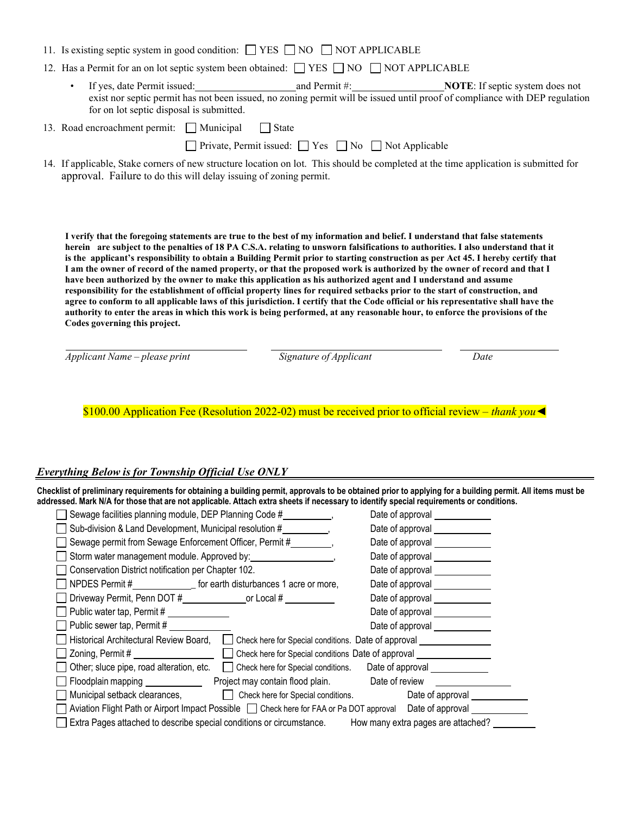|  |  |  |  | 11. Is existing septic system in good condition: $\Box$ YES $\Box$ NO $\Box$ NOT APPLICABLE |
|--|--|--|--|---------------------------------------------------------------------------------------------|
|--|--|--|--|---------------------------------------------------------------------------------------------|

- 12. Has a Permit for an on lot septic system been obtained:  $\Box$  YES  $\Box$  NO  $\Box$  NOT APPLICABLE
	- If yes, date Permit issued: and Permit #: **NOTE**: If septic system does not exist nor septic permit has not been issued, no zoning permit will be issued until proof of compliance with DEP regulation for on lot septic disposal is submitted.

13. Road encroachment permit:  $\Box$  Municipal  $\Box$  State

Private, Permit issued:  $\Box$  Yes  $\Box$  No  $\Box$  Not Applicable

14. If applicable, Stake corners of new structure location on lot. This should be completed at the time application is submitted for approval. Failure to do this will delay issuing of zoning permit.

**I verify that the foregoing statements are true to the best of my information and belief. I understand that false statements herein are subject to the penalties of 18 PA C.S.A. relating to unsworn falsifications to authorities. I also understand that it is the applicant's responsibility to obtain a Building Permit prior to starting construction as per Act 45. I hereby certify that I am the owner of record of the named property, or that the proposed work is authorized by the owner of record and that I have been authorized by the owner to make this application as his authorized agent and I understand and assume responsibility for the establishment of official property lines for required setbacks prior to the start of construction, and agree to conform to all applicable laws of this jurisdiction. I certify that the Code official or his representative shall have the authority to enter the areas in which this work is being performed, at any reasonable hour, to enforce the provisions of the Codes governing this project.**

*Applicant Name – please print Signature of Applicant Date*

\$100.00 Application Fee (Resolution 2022-02) must be received prior to official review – *thank you◄*

## *Everything Below is for Township Official Use ONLY*

**Checklist of preliminary requirements for obtaining a building permit, approvals to be obtained prior to applying for a building permit. All items must be** addressed. Mark N/A for those that are not applicable. Attach extra sheets if necessary to identify special requirements or conditions.

| Sewage facilities planning module, DEP Planning Code #                                                                    | Date of approval _____________  |
|---------------------------------------------------------------------------------------------------------------------------|---------------------------------|
| Sub-division & Land Development, Municipal resolution #                                                                   |                                 |
| Sewage permit from Sewage Enforcement Officer, Permit #                                                                   | Date of approval                |
|                                                                                                                           | Date of approval ______________ |
| Conservation District notification per Chapter 102.                                                                       | Date of approval _____________  |
| NPDES Permit #____________________ for earth disturbances 1 acre or more,                                                 | Date of approval ____________   |
|                                                                                                                           | Date of approval                |
| Public water tap, Permit # ______________                                                                                 | Date of approval                |
| Public sewer tap, Permit #                                                                                                | Date of approval _____________  |
| Historical Architectural Review Board,<br>Check here for Special conditions. Date of approval                             |                                 |
| Zoning, Permit # ____________________<br>Check here for Special conditions Date of approval _____________________________ |                                 |
| Other; sluce pipe, road alteration, etc.<br>Check here for Special conditions. Date of approval                           |                                 |
| Floodplain mapping _________________ Project may contain flood plain. Date of review                                      |                                 |
| Municipal setback clearances, Check here for Special conditions.                                                          |                                 |
| Aviation Flight Path or Airport Impact Possible   Check here for FAA or Pa DOT approval Date of approval                  |                                 |
| Extra Pages attached to describe special conditions or circumstance. How many extra pages are attached?                   |                                 |